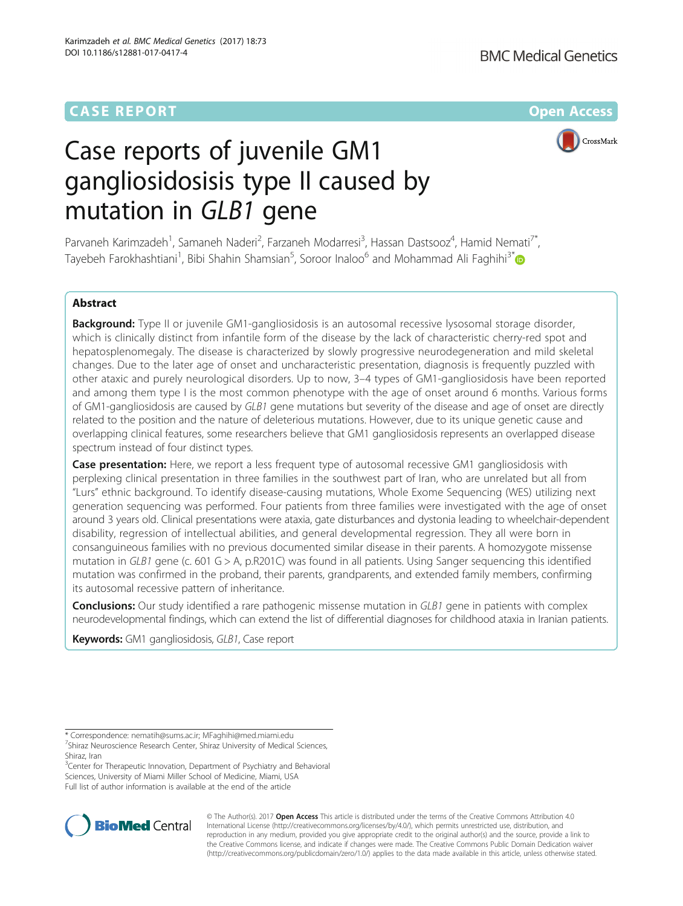# **CASE REPORT CASE ACCESS**

# Case reports of juvenile GM1 gangliosidosisis type II caused by mutation in GLB1 gene



Parvaneh Karimzadeh<sup>1</sup>, Samaneh Naderi<sup>2</sup>, Farzaneh Modarresi<sup>3</sup>, Hassan Dastsooz<sup>4</sup>, Hamid Nemati<sup>7\*</sup>, Tayebeh Farokhashtiani<sup>1</sup>, Bibi Shahin Shamsian<sup>5</sup>, Soroor Inaloo<sup>6</sup> and Mohammad Ali Faghihi<sup>3[\\*](http://orcid.org/0000-0002-8330-9067)</sup>

# Abstract

Background: Type II or juvenile GM1-gangliosidosis is an autosomal recessive lysosomal storage disorder, which is clinically distinct from infantile form of the disease by the lack of characteristic cherry-red spot and hepatosplenomegaly. The disease is characterized by slowly progressive neurodegeneration and mild skeletal changes. Due to the later age of onset and uncharacteristic presentation, diagnosis is frequently puzzled with other ataxic and purely neurological disorders. Up to now, 3–4 types of GM1-gangliosidosis have been reported and among them type I is the most common phenotype with the age of onset around 6 months. Various forms of GM1-gangliosidosis are caused by GLB1 gene mutations but severity of the disease and age of onset are directly related to the position and the nature of deleterious mutations. However, due to its unique genetic cause and overlapping clinical features, some researchers believe that GM1 gangliosidosis represents an overlapped disease spectrum instead of four distinct types.

**Case presentation:** Here, we report a less frequent type of autosomal recessive GM1 gangliosidosis with perplexing clinical presentation in three families in the southwest part of Iran, who are unrelated but all from "Lurs" ethnic background. To identify disease-causing mutations, Whole Exome Sequencing (WES) utilizing next generation sequencing was performed. Four patients from three families were investigated with the age of onset around 3 years old. Clinical presentations were ataxia, gate disturbances and dystonia leading to wheelchair-dependent disability, regression of intellectual abilities, and general developmental regression. They all were born in consanguineous families with no previous documented similar disease in their parents. A homozygote missense mutation in GLB1 gene (c. 601 G > A, p.R201C) was found in all patients. Using Sanger sequencing this identified mutation was confirmed in the proband, their parents, grandparents, and extended family members, confirming its autosomal recessive pattern of inheritance.

**Conclusions:** Our study identified a rare pathogenic missense mutation in GLB1 gene in patients with complex neurodevelopmental findings, which can extend the list of differential diagnoses for childhood ataxia in Iranian patients.

Keywords: GM1 gangliosidosis, GLB1, Case report

<sup>&</sup>lt;sup>3</sup> Center for Therapeutic Innovation, Department of Psychiatry and Behavioral Sciences, University of Miami Miller School of Medicine, Miami, USA Full list of author information is available at the end of the article



© The Author(s). 2017 **Open Access** This article is distributed under the terms of the Creative Commons Attribution 4.0 International License [\(http://creativecommons.org/licenses/by/4.0/](http://creativecommons.org/licenses/by/4.0/)), which permits unrestricted use, distribution, and reproduction in any medium, provided you give appropriate credit to the original author(s) and the source, provide a link to the Creative Commons license, and indicate if changes were made. The Creative Commons Public Domain Dedication waiver [\(http://creativecommons.org/publicdomain/zero/1.0/](http://creativecommons.org/publicdomain/zero/1.0/)) applies to the data made available in this article, unless otherwise stated.

<sup>\*</sup> Correspondence: [nematih@sums.ac.ir](mailto:nematih@sums.ac.ir); [MFaghihi@med.miami.edu](mailto:MFaghihi@med.miami.edu) <sup>7</sup> <sup>7</sup>Shiraz Neuroscience Research Center, Shiraz University of Medical Sciences, Shiraz, Iran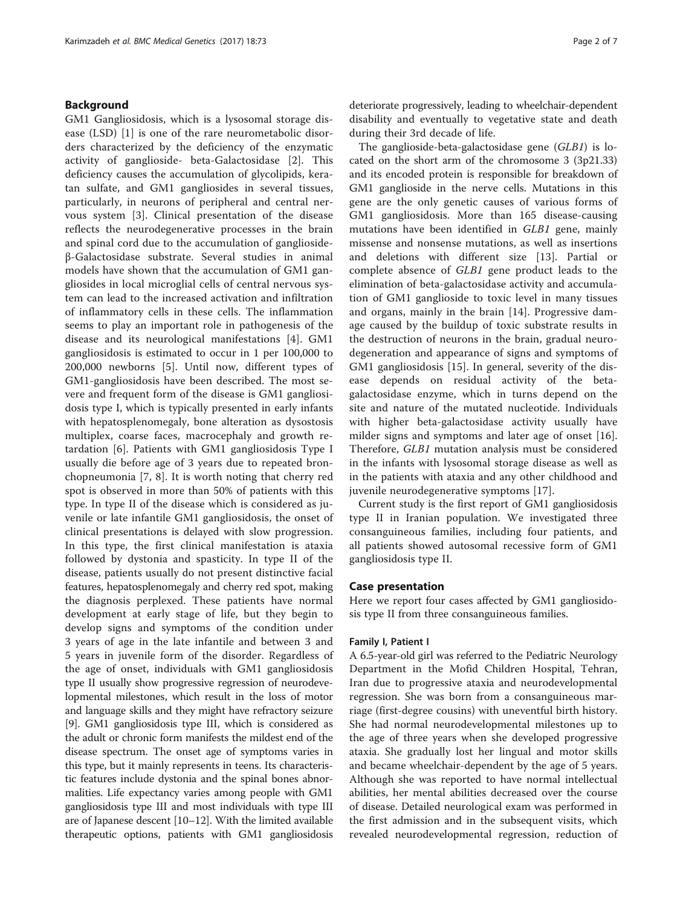# Background

GM1 Gangliosidosis, which is a lysosomal storage disease (LSD) [[1\]](#page-6-0) is one of the rare neurometabolic disorders characterized by the deficiency of the enzymatic activity of ganglioside- beta-Galactosidase [\[2\]](#page-6-0). This deficiency causes the accumulation of glycolipids, keratan sulfate, and GM1 gangliosides in several tissues, particularly, in neurons of peripheral and central nervous system [\[3](#page-6-0)]. Clinical presentation of the disease reflects the neurodegenerative processes in the brain and spinal cord due to the accumulation of gangliosideβ-Galactosidase substrate. Several studies in animal models have shown that the accumulation of GM1 gangliosides in local microglial cells of central nervous system can lead to the increased activation and infiltration of inflammatory cells in these cells. The inflammation seems to play an important role in pathogenesis of the disease and its neurological manifestations [\[4](#page-6-0)]. GM1 gangliosidosis is estimated to occur in 1 per 100,000 to 200,000 newborns [[5](#page-6-0)]. Until now, different types of GM1-gangliosidosis have been described. The most severe and frequent form of the disease is GM1 gangliosidosis type I, which is typically presented in early infants with hepatosplenomegaly, bone alteration as dysostosis multiplex, coarse faces, macrocephaly and growth retardation [[6\]](#page-6-0). Patients with GM1 gangliosidosis Type I usually die before age of 3 years due to repeated bronchopneumonia [\[7](#page-6-0), [8\]](#page-6-0). It is worth noting that cherry red spot is observed in more than 50% of patients with this type. In type II of the disease which is considered as juvenile or late infantile GM1 gangliosidosis, the onset of clinical presentations is delayed with slow progression. In this type, the first clinical manifestation is ataxia followed by dystonia and spasticity. In type II of the disease, patients usually do not present distinctive facial features, hepatosplenomegaly and cherry red spot, making the diagnosis perplexed. These patients have normal development at early stage of life, but they begin to develop signs and symptoms of the condition under 3 years of age in the late infantile and between 3 and 5 years in juvenile form of the disorder. Regardless of the age of onset, individuals with GM1 gangliosidosis type II usually show progressive regression of neurodevelopmental milestones, which result in the loss of motor and language skills and they might have refractory seizure [[9\]](#page-6-0). GM1 gangliosidosis type III, which is considered as the adult or chronic form manifests the mildest end of the disease spectrum. The onset age of symptoms varies in this type, but it mainly represents in teens. Its characteristic features include dystonia and the spinal bones abnormalities. Life expectancy varies among people with GM1 gangliosidosis type III and most individuals with type III are of Japanese descent [[10](#page-6-0)–[12\]](#page-6-0). With the limited available therapeutic options, patients with GM1 gangliosidosis deteriorate progressively, leading to wheelchair-dependent disability and eventually to vegetative state and death during their 3rd decade of life.

The ganglioside-beta-galactosidase gene (GLB1) is located on the short arm of the chromosome 3 (3p21.33) and its encoded protein is responsible for breakdown of GM1 ganglioside in the nerve cells. Mutations in this gene are the only genetic causes of various forms of GM1 gangliosidosis. More than 165 disease-causing mutations have been identified in GLB1 gene, mainly missense and nonsense mutations, as well as insertions and deletions with different size [[13\]](#page-6-0). Partial or complete absence of GLB1 gene product leads to the elimination of beta-galactosidase activity and accumulation of GM1 ganglioside to toxic level in many tissues and organs, mainly in the brain [[14\]](#page-6-0). Progressive damage caused by the buildup of toxic substrate results in the destruction of neurons in the brain, gradual neurodegeneration and appearance of signs and symptoms of GM1 gangliosidosis [[15\]](#page-6-0). In general, severity of the disease depends on residual activity of the betagalactosidase enzyme, which in turns depend on the site and nature of the mutated nucleotide. Individuals with higher beta-galactosidase activity usually have milder signs and symptoms and later age of onset [\[16](#page-6-0)]. Therefore, GLB1 mutation analysis must be considered in the infants with lysosomal storage disease as well as in the patients with ataxia and any other childhood and juvenile neurodegenerative symptoms [\[17](#page-6-0)].

Current study is the first report of GM1 gangliosidosis type II in Iranian population. We investigated three consanguineous families, including four patients, and all patients showed autosomal recessive form of GM1 gangliosidosis type II.

# Case presentation

Here we report four cases affected by GM1 gangliosidosis type II from three consanguineous families.

#### Family I, Patient I

A 6.5-year-old girl was referred to the Pediatric Neurology Department in the Mofid Children Hospital, Tehran, Iran due to progressive ataxia and neurodevelopmental regression. She was born from a consanguineous marriage (first-degree cousins) with uneventful birth history. She had normal neurodevelopmental milestones up to the age of three years when she developed progressive ataxia. She gradually lost her lingual and motor skills and became wheelchair-dependent by the age of 5 years. Although she was reported to have normal intellectual abilities, her mental abilities decreased over the course of disease. Detailed neurological exam was performed in the first admission and in the subsequent visits, which revealed neurodevelopmental regression, reduction of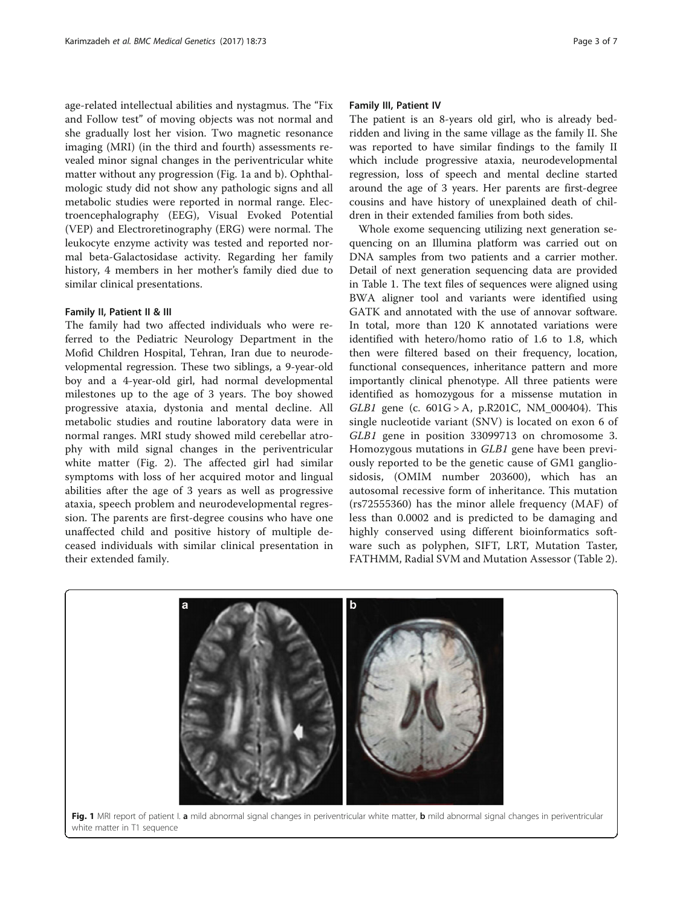age-related intellectual abilities and nystagmus. The "Fix and Follow test" of moving objects was not normal and she gradually lost her vision. Two magnetic resonance imaging (MRI) (in the third and fourth) assessments revealed minor signal changes in the periventricular white matter without any progression (Fig. 1a and b). Ophthalmologic study did not show any pathologic signs and all metabolic studies were reported in normal range. Electroencephalography (EEG), Visual Evoked Potential (VEP) and Electroretinography (ERG) were normal. The leukocyte enzyme activity was tested and reported normal beta-Galactosidase activity. Regarding her family history, 4 members in her mother's family died due to similar clinical presentations.

## Family II, Patient II & III

The family had two affected individuals who were referred to the Pediatric Neurology Department in the Mofid Children Hospital, Tehran, Iran due to neurodevelopmental regression. These two siblings, a 9-year-old boy and a 4-year-old girl, had normal developmental milestones up to the age of 3 years. The boy showed progressive ataxia, dystonia and mental decline. All metabolic studies and routine laboratory data were in normal ranges. MRI study showed mild cerebellar atrophy with mild signal changes in the periventricular white matter (Fig. [2](#page-3-0)). The affected girl had similar symptoms with loss of her acquired motor and lingual abilities after the age of 3 years as well as progressive ataxia, speech problem and neurodevelopmental regression. The parents are first-degree cousins who have one unaffected child and positive history of multiple deceased individuals with similar clinical presentation in their extended family.

#### Family III, Patient IV

The patient is an 8-years old girl, who is already bedridden and living in the same village as the family II. She was reported to have similar findings to the family II which include progressive ataxia, neurodevelopmental regression, loss of speech and mental decline started around the age of 3 years. Her parents are first-degree cousins and have history of unexplained death of children in their extended families from both sides.

Whole exome sequencing utilizing next generation sequencing on an Illumina platform was carried out on DNA samples from two patients and a carrier mother. Detail of next generation sequencing data are provided in Table [1.](#page-3-0) The text files of sequences were aligned using BWA aligner tool and variants were identified using GATK and annotated with the use of annovar software. In total, more than 120 K annotated variations were identified with hetero/homo ratio of 1.6 to 1.8, which then were filtered based on their frequency, location, functional consequences, inheritance pattern and more importantly clinical phenotype. All three patients were identified as homozygous for a missense mutation in GLB1 gene (c.  $601G > A$ , p.R201C, NM\_000404). This single nucleotide variant (SNV) is located on exon 6 of GLB1 gene in position 33099713 on chromosome 3. Homozygous mutations in GLB1 gene have been previously reported to be the genetic cause of GM1 gangliosidosis, (OMIM number 203600), which has an autosomal recessive form of inheritance. This mutation (rs72555360) has the minor allele frequency (MAF) of less than 0.0002 and is predicted to be damaging and highly conserved using different bioinformatics software such as polyphen, SIFT, LRT, Mutation Taster, FATHMM, Radial SVM and Mutation Assessor (Table [2](#page-4-0)).

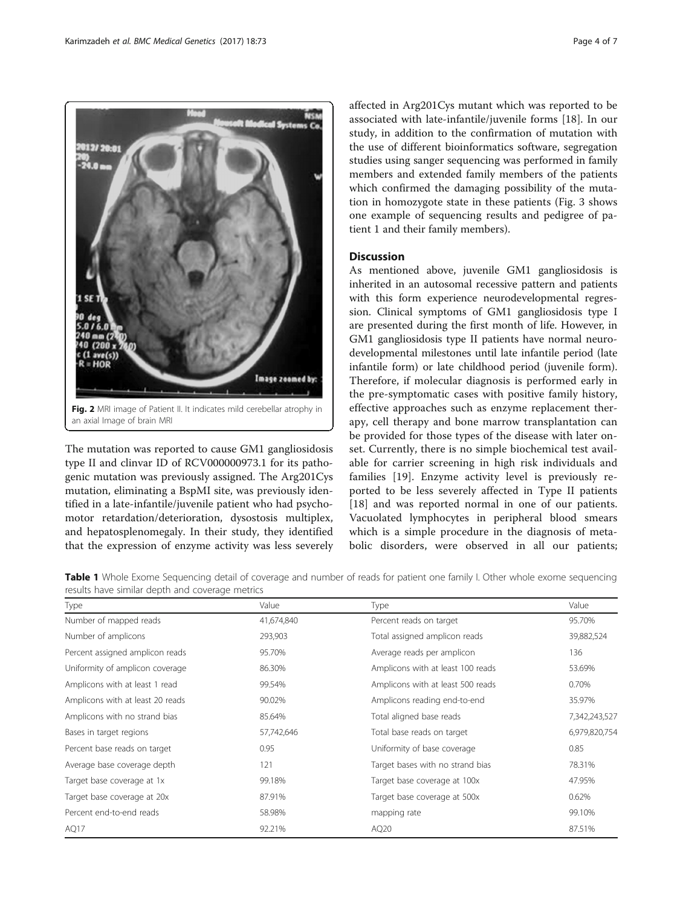<span id="page-3-0"></span>

The mutation was reported to cause GM1 gangliosidosis type II and clinvar ID of RCV000000973.1 for its pathogenic mutation was previously assigned. The Arg201Cys mutation, eliminating a BspMI site, was previously identified in a late-infantile/juvenile patient who had psychomotor retardation/deterioration, dysostosis multiplex, and hepatosplenomegaly. In their study, they identified that the expression of enzyme activity was less severely affected in Arg201Cys mutant which was reported to be associated with late-infantile/juvenile forms [\[18](#page-6-0)]. In our study, in addition to the confirmation of mutation with the use of different bioinformatics software, segregation studies using sanger sequencing was performed in family members and extended family members of the patients which confirmed the damaging possibility of the mutation in homozygote state in these patients (Fig. [3](#page-5-0) shows one example of sequencing results and pedigree of patient 1 and their family members).

# **Discussion**

As mentioned above, juvenile GM1 gangliosidosis is inherited in an autosomal recessive pattern and patients with this form experience neurodevelopmental regression. Clinical symptoms of GM1 gangliosidosis type I are presented during the first month of life. However, in GM1 gangliosidosis type II patients have normal neurodevelopmental milestones until late infantile period (late infantile form) or late childhood period (juvenile form). Therefore, if molecular diagnosis is performed early in the pre-symptomatic cases with positive family history, effective approaches such as enzyme replacement therapy, cell therapy and bone marrow transplantation can be provided for those types of the disease with later onset. Currently, there is no simple biochemical test available for carrier screening in high risk individuals and families [[19\]](#page-6-0). Enzyme activity level is previously reported to be less severely affected in Type II patients [[18\]](#page-6-0) and was reported normal in one of our patients. Vacuolated lymphocytes in peripheral blood smears which is a simple procedure in the diagnosis of metabolic disorders, were observed in all our patients;

Table 1 Whole Exome Sequencing detail of coverage and number of reads for patient one family I. Other whole exome sequencing results have similar depth and coverage metrics

| Type                             | Value      | Type                              | Value         |
|----------------------------------|------------|-----------------------------------|---------------|
| Number of mapped reads           | 41,674,840 | Percent reads on target           | 95.70%        |
| Number of amplicons              | 293,903    | Total assigned amplicon reads     | 39,882,524    |
| Percent assigned amplicon reads  | 95.70%     | Average reads per amplicon        | 136           |
| Uniformity of amplicon coverage  | 86.30%     | Amplicons with at least 100 reads | 53.69%        |
| Amplicons with at least 1 read   | 99.54%     | Amplicons with at least 500 reads | 0.70%         |
| Amplicons with at least 20 reads | 90.02%     | Amplicons reading end-to-end      | 35.97%        |
| Amplicons with no strand bias    | 85.64%     | Total aligned base reads          | 7,342,243,527 |
| Bases in target regions          | 57,742,646 | Total base reads on target        | 6,979,820,754 |
| Percent base reads on target     | 0.95       | Uniformity of base coverage       | 0.85          |
| Average base coverage depth      | 121        | Target bases with no strand bias  | 78.31%        |
| Target base coverage at 1x       | 99.18%     | Target base coverage at 100x      | 47.95%        |
| Target base coverage at 20x      | 87.91%     | Target base coverage at 500x      | 0.62%         |
| Percent end-to-end reads         | 58.98%     | mapping rate                      | 99.10%        |
| AQ17                             | 92.21%     | AQ20                              | 87.51%        |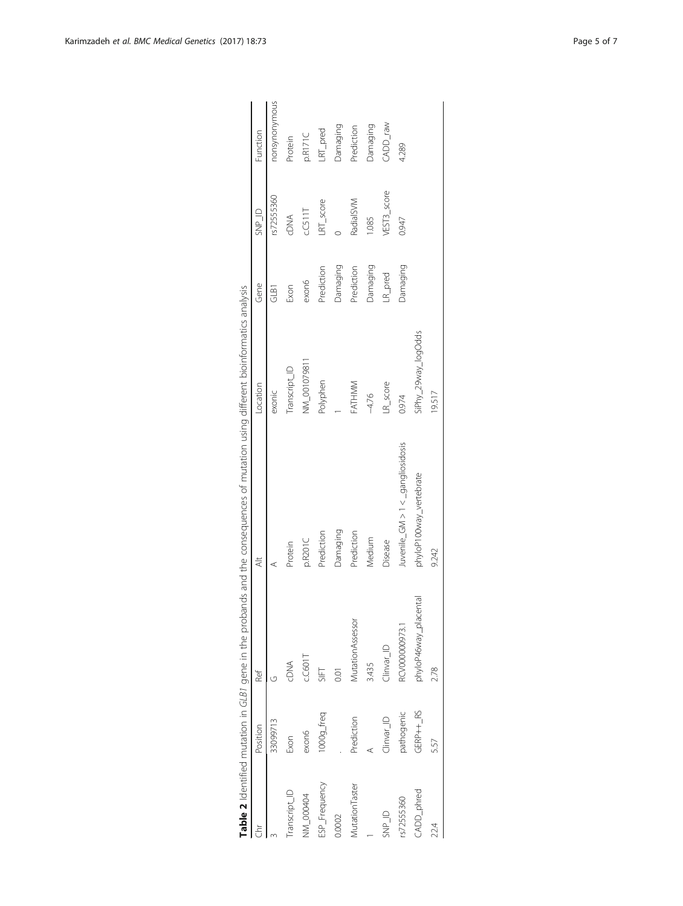<span id="page-4-0"></span>

|                 | Position   | Ref                     | $\frac{1}{2}$                      | _ocation            | Gene       | SNP_ID      | Function              |
|-----------------|------------|-------------------------|------------------------------------|---------------------|------------|-------------|-----------------------|
|                 | 33099713   |                         |                                    | exonic              | GLB1       | \$72555360  | ansynonymous          |
| Transcript_ID   | Exon       | CDNA                    | Protein                            | Transcript_ID       | Exon       | <b>CDNA</b> | Protein               |
| NM_000404       | exon6      | $-0.0011$               | p.R201C                            | NM_00107981         | exon6      | CCS11T      | p.R171C               |
| ESP_Frequency   | l000g_freq | <b>SIET</b>             | Prediction                         | Polyphen            | Prediction | LRT_score   | $RT$ pred             |
| 0.0002          |            |                         | Damaging                           |                     | Damaging   |             | Damaging              |
| Mutation Taster | Prediction | <b>MutationAssessor</b> | Prediction                         | FATHMM              | Prediction | RadialSVM   | Prediction            |
|                 |            | 3.435                   | Medium                             | $-4.76$             | Damaging   | 1.085       | Damaging              |
| <b>CIT-ANS</b>  | Clinvar_ID | Clinvar_ID              | Disease                            | LR_score            | LR_pred    | VEST3_score | wer <sup>T</sup> ddy: |
| rs72555360      | pathogenic | RCV000000973.1          | Juvenile_GM $> 1 <$ gangliosidosis | 0.974               | Damaging   | 0.947       | 4.289                 |
| CADD_phred      | GERP++_RS  | phyloP46way_placental   | phyloP100way_vertebrate            | SiPhy_29way_logOdds |            |             |                       |
|                 | 557        | 278                     | 9.242                              | 19.517              |            |             |                       |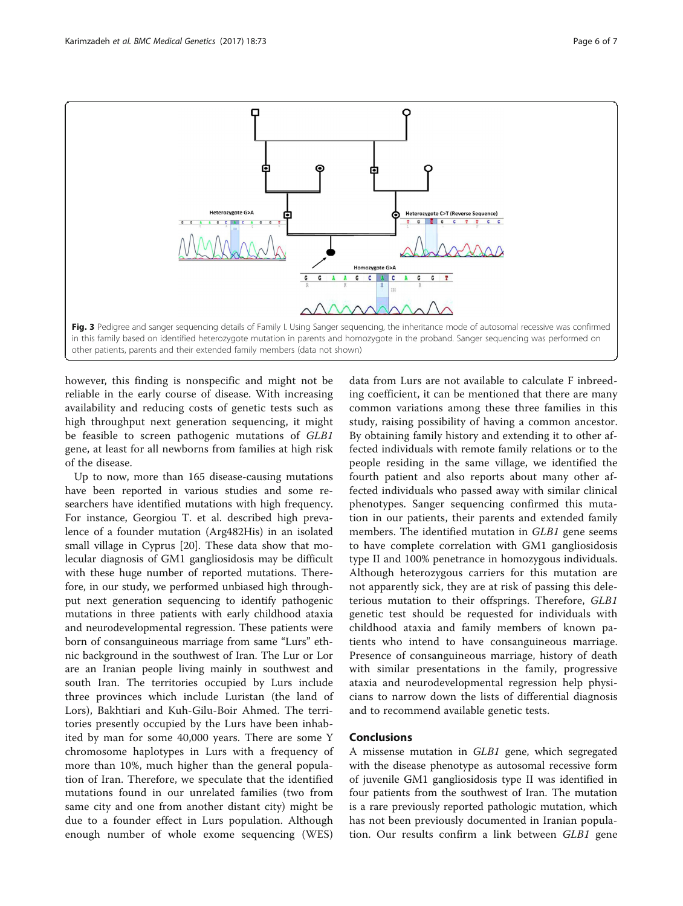<span id="page-5-0"></span>

however, this finding is nonspecific and might not be reliable in the early course of disease. With increasing availability and reducing costs of genetic tests such as high throughput next generation sequencing, it might be feasible to screen pathogenic mutations of GLB1 gene, at least for all newborns from families at high risk of the disease.

Up to now, more than 165 disease-causing mutations have been reported in various studies and some researchers have identified mutations with high frequency. For instance, Georgiou T. et al. described high prevalence of a founder mutation (Arg482His) in an isolated small village in Cyprus [[20\]](#page-6-0). These data show that molecular diagnosis of GM1 gangliosidosis may be difficult with these huge number of reported mutations. Therefore, in our study, we performed unbiased high throughput next generation sequencing to identify pathogenic mutations in three patients with early childhood ataxia and neurodevelopmental regression. These patients were born of consanguineous marriage from same "Lurs" ethnic background in the southwest of Iran. The Lur or Lor are an Iranian people living mainly in southwest and south Iran. The territories occupied by Lurs include three provinces which include Luristan (the land of Lors), Bakhtiari and Kuh-Gilu-Boir Ahmed. The territories presently occupied by the Lurs have been inhabited by man for some 40,000 years. There are some Y chromosome haplotypes in Lurs with a frequency of more than 10%, much higher than the general population of Iran. Therefore, we speculate that the identified mutations found in our unrelated families (two from same city and one from another distant city) might be due to a founder effect in Lurs population. Although enough number of whole exome sequencing (WES)

data from Lurs are not available to calculate F inbreeding coefficient, it can be mentioned that there are many common variations among these three families in this study, raising possibility of having a common ancestor. By obtaining family history and extending it to other affected individuals with remote family relations or to the people residing in the same village, we identified the fourth patient and also reports about many other affected individuals who passed away with similar clinical phenotypes. Sanger sequencing confirmed this mutation in our patients, their parents and extended family members. The identified mutation in GLB1 gene seems to have complete correlation with GM1 gangliosidosis type II and 100% penetrance in homozygous individuals. Although heterozygous carriers for this mutation are not apparently sick, they are at risk of passing this deleterious mutation to their offsprings. Therefore, GLB1 genetic test should be requested for individuals with childhood ataxia and family members of known patients who intend to have consanguineous marriage. Presence of consanguineous marriage, history of death with similar presentations in the family, progressive ataxia and neurodevelopmental regression help physicians to narrow down the lists of differential diagnosis and to recommend available genetic tests.

# Conclusions

A missense mutation in GLB1 gene, which segregated with the disease phenotype as autosomal recessive form of juvenile GM1 gangliosidosis type II was identified in four patients from the southwest of Iran. The mutation is a rare previously reported pathologic mutation, which has not been previously documented in Iranian population. Our results confirm a link between GLB1 gene